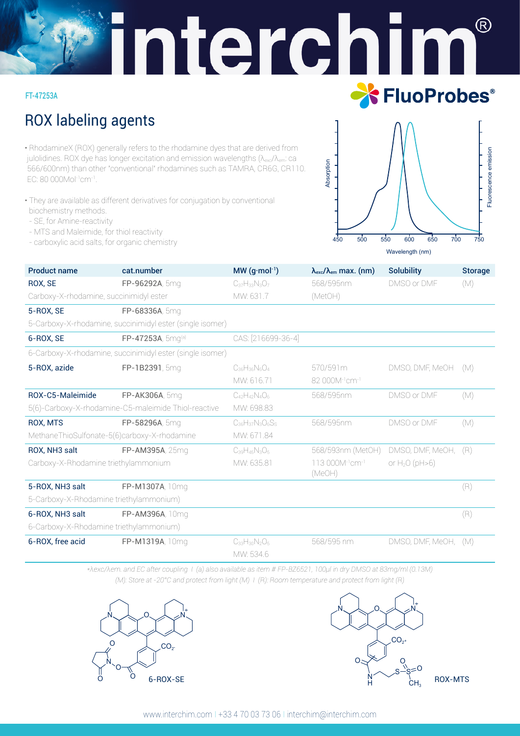# interchi  $\mathcal{R}$ **X** FluoProbes®

#### FT-47253A

# ROX labeling agents

•RhodamineX (ROX) generally refers to the rhodamine dyes that are derived from julolidines. ROX dye has longer excitation and emission wavelengths (λ<sub>exc</sub>/λ<sub>em</sub>: ca 566/600nm) than other "conventional" rhodamines such as TAMRA, CR6G, CR110. EC: 80 000Mol-1cm-1.

- They are available as different derivatives for conjugation by conventional biochemistry methods.
- SE, for Amine-reactivity
- MTS and Maleimide, for thiol reactivity
- carboxylic acid salts, for organic chemistry



| <b>Product name</b>                                  | cat.number                                                | $MW(q \cdot mol^{-1})$   | $\lambda_{\rm exc}/\lambda_{\rm em}$ max. (nm)    | <b>Solubility</b>    | <b>Storage</b> |
|------------------------------------------------------|-----------------------------------------------------------|--------------------------|---------------------------------------------------|----------------------|----------------|
| ROX, SE                                              | FP-96292A, 5mg                                            | $C_{37}H_{33}N_3O_7$     | 568/595nm                                         | DMSO or DMF          | (M)            |
| Carboxy-X-rhodamine, succinimidyl ester              |                                                           | MW: 631.7                | (MetOH)                                           |                      |                |
| 5-ROX, SE                                            | FP-68336A, 5mg                                            |                          |                                                   |                      |                |
|                                                      | 5-Carboxy-X-rhodamine, succinimidyl ester (single isomer) |                          |                                                   |                      |                |
| 6-ROX, SE                                            | FP-47253A, 5mg(a)                                         | CAS: [216699-36-4]       |                                                   |                      |                |
|                                                      | 6-Carboxy-X-rhodamine, succinimidyl ester (single isomer) |                          |                                                   |                      |                |
| 5-ROX, azide                                         | FP-1B2391, 5mg                                            | $C_{36}H_{36}N_6O_4$     | 570/591m                                          | DMSO, DMF, MeOH      | (M)            |
|                                                      |                                                           | MW: 616.71               | 82 000M <sup>-1</sup> cm <sup>-1</sup>            |                      |                |
| ROX-C5-Maleimide                                     | FP-AK306A, 5mg                                            | $C_{42}H_{42}N_{4}O_{6}$ | 568/595nm                                         | DMSO or DMF          | (M)            |
| 5(6)-Carboxy-X-rhodamine-C5-maleimide Thiol-reactive |                                                           | MW: 698.83               |                                                   |                      |                |
| <b>ROX, MTS</b>                                      | FP-58296A, 5mg                                            | $C_{36}H_{37}N_3O_6S_5$  | 568/595nm                                         | DMSO or DMF          | (M)            |
| MethaneThioSulfonate-5(6)carboxy-X-rhodamine         |                                                           | MW: 671.84               |                                                   |                      |                |
| ROX, NH3 salt                                        | FP-AM395A, 25mg                                           | $C_{39}H_{45}N_3O_5$     | 568/593nm (MetOH)                                 | DMSO, DMF, MeOH, (R) |                |
| Carboxy-X-Rhodamine triethylammonium                 |                                                           | MW: 635.81               | 113 000M <sup>-1</sup> cm <sup>-1</sup><br>(MeOH) | or $H_2O(pH>6)$      |                |
| 5-ROX, NH3 salt                                      | FP-M1307A, 10mg                                           |                          |                                                   |                      | (R)            |
| 5-Carboxy-X-Rhodamine triethylammonium)              |                                                           |                          |                                                   |                      |                |
| 6-ROX. NH3 salt                                      | FP-AM396A, 10mg                                           |                          |                                                   |                      | (R)            |
| 6-Carboxy-X-Rhodamine triethylammonium)              |                                                           |                          |                                                   |                      |                |
| 6-ROX, free acid                                     | FP-M1319A, 10mg                                           | $C_{33}H_{30}N_2O_5$     | 568/595 nm                                        | DMSO, DMF, MeOH,     | (M)            |
|                                                      |                                                           | MW: 534.6                |                                                   |                      |                |

*\*λexc/λem. and EC after coupling I (a) also available as item # FP-BZ6521, 100μl in dry DMSO at 83mg/ml (0.13M) (M): Store at -20°C and protect from light (M) I (R): Room temperature and protect from light (R)*